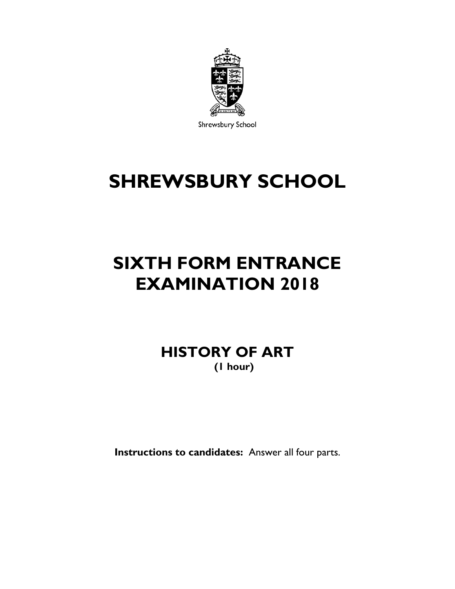

Shrewsbury School

## **SHREWSBURY SCHOOL**

## **SIXTH FORM ENTRANCE EXAMINATION 2018**

**HISTORY OF ART (1 hour)**

**Instructions to candidates:** Answer all four parts.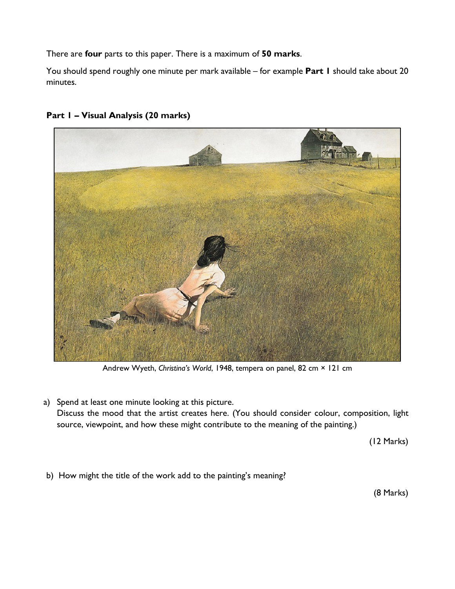There are **four** parts to this paper. There is a maximum of **50 marks**.

You should spend roughly one minute per mark available – for example **Part 1** should take about 20 minutes.



## **Part 1 – Visual Analysis (20 marks)**

Andrew Wyeth, *Christina's World*, 1948, tempera on panel, 82 cm × 121 cm

a) Spend at least one minute looking at this picture. Discuss the mood that the artist creates here. (You should consider colour, composition, light source, viewpoint, and how these might contribute to the meaning of the painting.)

(12 Marks)

b) How might the title of the work add to the painting's meaning?

(8 Marks)